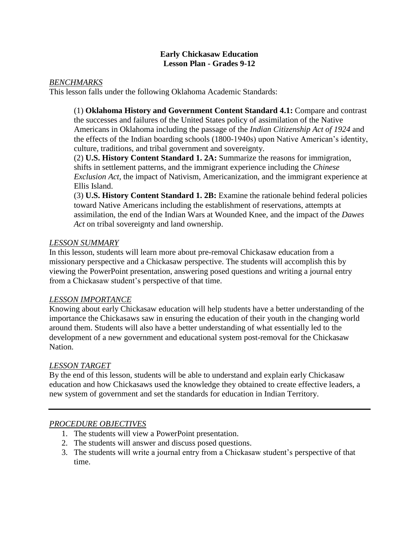### **Early Chickasaw Education Lesson Plan - Grades 9-12**

### *BENCHMARKS*

This lesson falls under the following Oklahoma Academic Standards:

(1) **Oklahoma History and Government Content Standard 4.1:** Compare and contrast the successes and failures of the United States policy of assimilation of the Native Americans in Oklahoma including the passage of the *Indian Citizenship Act of 1924* and the effects of the Indian boarding schools (1800-1940s) upon Native American's identity, culture, traditions, and tribal government and sovereignty.

(2) **U.S. History Content Standard 1. 2A:** Summarize the reasons for immigration, shifts in settlement patterns, and the immigrant experience including the *Chinese Exclusion Act*, the impact of Nativism, Americanization, and the immigrant experience at Ellis Island.

(3) **U.S. History Content Standard 1. 2B:** Examine the rationale behind federal policies toward Native Americans including the establishment of reservations, attempts at assimilation, the end of the Indian Wars at Wounded Knee, and the impact of the *Dawes Act* on tribal sovereignty and land ownership.

### *LESSON SUMMARY*

In this lesson, students will learn more about pre-removal Chickasaw education from a missionary perspective and a Chickasaw perspective. The students will accomplish this by viewing the PowerPoint presentation, answering posed questions and writing a journal entry from a Chickasaw student's perspective of that time.

## *LESSON IMPORTANCE*

Knowing about early Chickasaw education will help students have a better understanding of the importance the Chickasaws saw in ensuring the education of their youth in the changing world around them. Students will also have a better understanding of what essentially led to the development of a new government and educational system post-removal for the Chickasaw Nation.

## *LESSON TARGET*

By the end of this lesson, students will be able to understand and explain early Chickasaw education and how Chickasaws used the knowledge they obtained to create effective leaders, a new system of government and set the standards for education in Indian Territory.

## *PROCEDURE OBJECTIVES*

- 1. The students will view a PowerPoint presentation.
- 2. The students will answer and discuss posed questions.
- 3. The students will write a journal entry from a Chickasaw student's perspective of that time.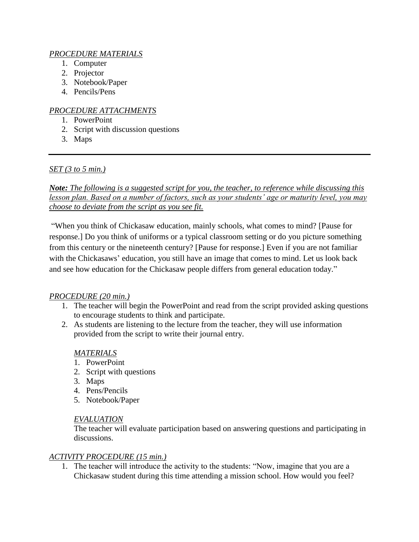# *PROCEDURE MATERIALS*

- 1. Computer
- 2. Projector
- 3. Notebook/Paper
- 4. Pencils/Pens

# *PROCEDURE ATTACHMENTS*

- 1. PowerPoint
- 2. Script with discussion questions
- 3. Maps

*SET (3 to 5 min.)*

*Note: The following is a suggested script for you, the teacher, to reference while discussing this lesson plan. Based on a number of factors, such as your students' age or maturity level, you may choose to deviate from the script as you see fit.*

"When you think of Chickasaw education, mainly schools, what comes to mind? [Pause for response.] Do you think of uniforms or a typical classroom setting or do you picture something from this century or the nineteenth century? [Pause for response.] Even if you are not familiar with the Chickasaws' education, you still have an image that comes to mind. Let us look back and see how education for the Chickasaw people differs from general education today."

# *PROCEDURE (20 min.)*

- 1. The teacher will begin the PowerPoint and read from the script provided asking questions to encourage students to think and participate.
- 2. As students are listening to the lecture from the teacher, they will use information provided from the script to write their journal entry.

## *MATERIALS*

- 1. PowerPoint
- 2. Script with questions
- 3. Maps
- 4. Pens/Pencils
- 5. Notebook/Paper

## *EVALUATION*

The teacher will evaluate participation based on answering questions and participating in discussions.

## *ACTIVITY PROCEDURE (15 min.)*

1. The teacher will introduce the activity to the students: "Now, imagine that you are a Chickasaw student during this time attending a mission school. How would you feel?